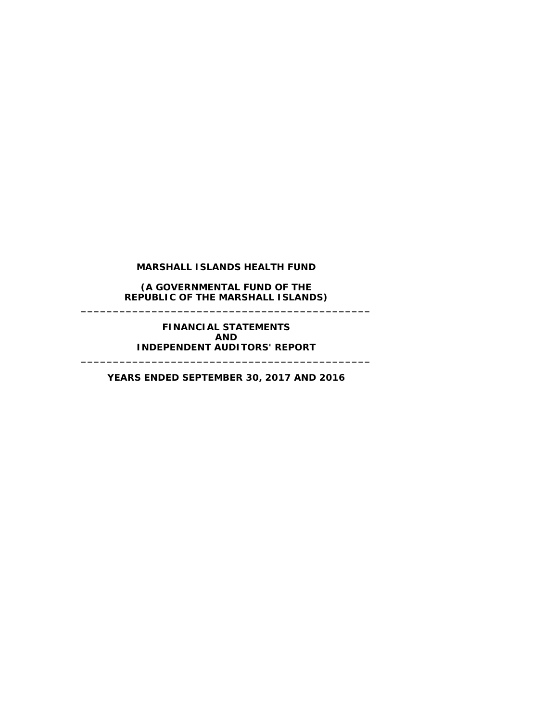**(A GOVERNMENTAL FUND OF THE REPUBLIC OF THE MARSHALL ISLANDS) \_\_\_\_\_\_\_\_\_\_\_\_\_\_\_\_\_\_\_\_\_\_\_\_\_\_\_\_\_\_\_\_\_\_\_\_\_\_\_\_\_\_\_\_\_**

> **FINANCIAL STATEMENTS AND INDEPENDENT AUDITORS' REPORT**

**\_\_\_\_\_\_\_\_\_\_\_\_\_\_\_\_\_\_\_\_\_\_\_\_\_\_\_\_\_\_\_\_\_\_\_\_\_\_\_\_\_\_\_\_\_**

**YEARS ENDED SEPTEMBER 30, 2017 AND 2016**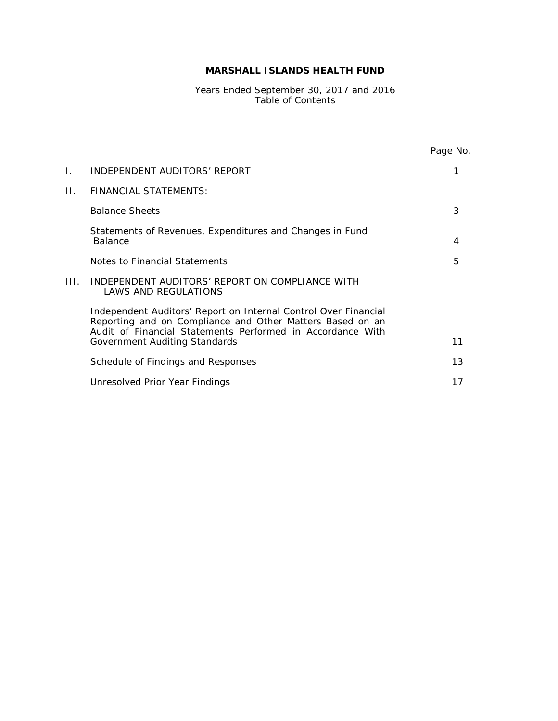Years Ended September 30, 2017 and 2016 Table of Contents

|      |                                                                                                                                                                                                                             | Page No. |
|------|-----------------------------------------------------------------------------------------------------------------------------------------------------------------------------------------------------------------------------|----------|
| Ι.   | INDEPENDENT AUDITORS' REPORT                                                                                                                                                                                                |          |
| Н.   | FINANCIAL STATEMENTS:                                                                                                                                                                                                       |          |
|      | <b>Balance Sheets</b>                                                                                                                                                                                                       | 3        |
|      | Statements of Revenues, Expenditures and Changes in Fund<br><b>Balance</b>                                                                                                                                                  | 4        |
|      | Notes to Financial Statements                                                                                                                                                                                               | 5        |
| III. | INDEPENDENT AUDITORS' REPORT ON COMPLIANCE WITH<br>LAWS AND REGULATIONS                                                                                                                                                     |          |
|      | Independent Auditors' Report on Internal Control Over Financial<br>Reporting and on Compliance and Other Matters Based on an<br>Audit of Financial Statements Performed in Accordance With<br>Government Auditing Standards | 11       |
|      |                                                                                                                                                                                                                             |          |
|      | Schedule of Findings and Responses                                                                                                                                                                                          | 13       |
|      | Unresolved Prior Year Findings                                                                                                                                                                                              | 17       |
|      |                                                                                                                                                                                                                             |          |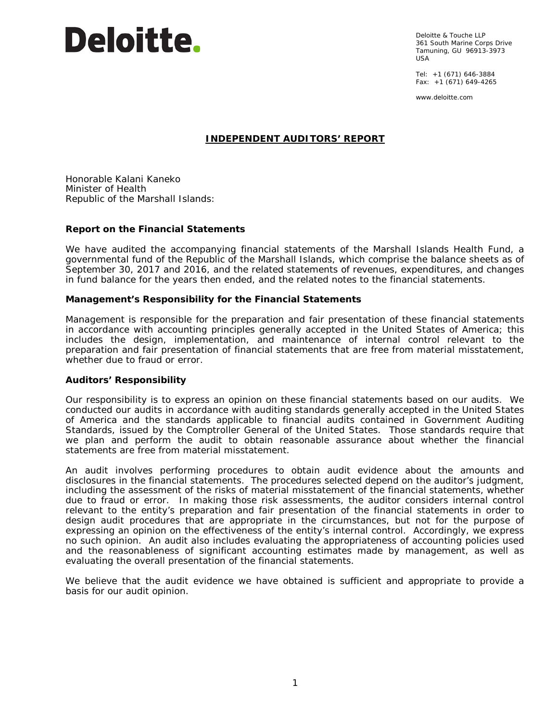Deloitte & Touche LLP 361 South Marine Corps Drive Tamuning, GU 96913-3973 USA

Tel: +1 (671) 646-3884 Fax:  $+1$  (671) 649-4265

www.deloitte.com

# **INDEPENDENT AUDITORS' REPORT**

Honorable Kalani Kaneko Minister of Health Republic of the Marshall Islands:

#### **Report on the Financial Statements**

We have audited the accompanying financial statements of the Marshall Islands Health Fund, a governmental fund of the Republic of the Marshall Islands, which comprise the balance sheets as of September 30, 2017 and 2016, and the related statements of revenues, expenditures, and changes in fund balance for the years then ended, and the related notes to the financial statements.

#### *Management's Responsibility for the Financial Statements*

Management is responsible for the preparation and fair presentation of these financial statements in accordance with accounting principles generally accepted in the United States of America; this includes the design, implementation, and maintenance of internal control relevant to the preparation and fair presentation of financial statements that are free from material misstatement, whether due to fraud or error.

#### *Auditors' Responsibility*

Our responsibility is to express an opinion on these financial statements based on our audits. We conducted our audits in accordance with auditing standards generally accepted in the United States of America and the standards applicable to financial audits contained in *Government Auditing Standards*, issued by the Comptroller General of the United States. Those standards require that we plan and perform the audit to obtain reasonable assurance about whether the financial statements are free from material misstatement.

An audit involves performing procedures to obtain audit evidence about the amounts and disclosures in the financial statements. The procedures selected depend on the auditor's judgment, including the assessment of the risks of material misstatement of the financial statements, whether due to fraud or error. In making those risk assessments, the auditor considers internal control relevant to the entity's preparation and fair presentation of the financial statements in order to design audit procedures that are appropriate in the circumstances, but not for the purpose of expressing an opinion on the effectiveness of the entity's internal control. Accordingly, we express no such opinion. An audit also includes evaluating the appropriateness of accounting policies used and the reasonableness of significant accounting estimates made by management, as well as evaluating the overall presentation of the financial statements.

We believe that the audit evidence we have obtained is sufficient and appropriate to provide a basis for our audit opinion.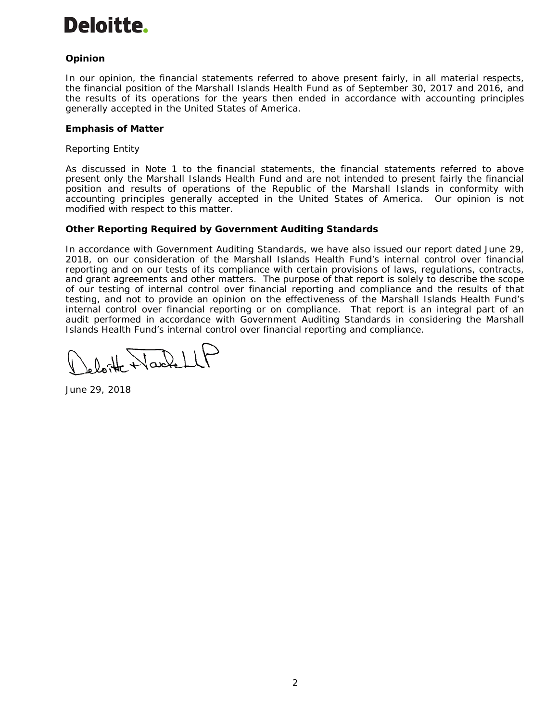# *Opinion*

In our opinion, the financial statements referred to above present fairly, in all material respects, the financial position of the Marshall Islands Health Fund as of September 30, 2017 and 2016, and the results of its operations for the years then ended in accordance with accounting principles generally accepted in the United States of America.

## *Emphasis of Matter*

## *Reporting Entity*

As discussed in Note 1 to the financial statements, the financial statements referred to above present only the Marshall Islands Health Fund and are not intended to present fairly the financial position and results of operations of the Republic of the Marshall Islands in conformity with accounting principles generally accepted in the United States of America. Our opinion is not modified with respect to this matter.

#### **Other Reporting Required by** *Government Auditing Standards*

In accordance with *Government Auditing Standards*, we have also issued our report dated June 29, 2018, on our consideration of the Marshall Islands Health Fund's internal control over financial reporting and on our tests of its compliance with certain provisions of laws, regulations, contracts, and grant agreements and other matters. The purpose of that report is solely to describe the scope of our testing of internal control over financial reporting and compliance and the results of that testing, and not to provide an opinion on the effectiveness of the Marshall Islands Health Fund's internal control over financial reporting or on compliance. That report is an integral part of an audit performed in accordance with *Government Auditing Standards* in considering the Marshall Islands Health Fund's internal control over financial reporting and compliance.

Harlell

June 29, 2018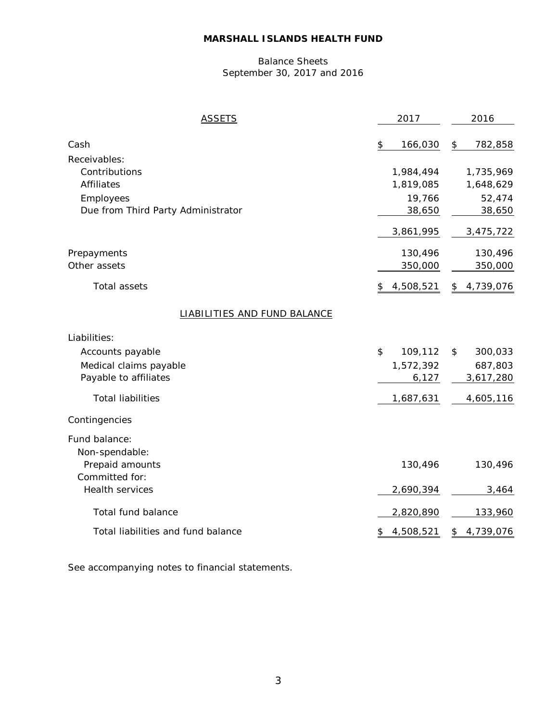# Balance Sheets September 30, 2017 and 2016

| <u>ASSETS</u>                       | 2017            | 2016            |
|-------------------------------------|-----------------|-----------------|
| Cash                                | \$<br>166,030   | 782,858<br>\$   |
| Receivables:                        |                 |                 |
| Contributions                       | 1,984,494       | 1,735,969       |
| <b>Affiliates</b>                   | 1,819,085       | 1,648,629       |
| Employees                           | 19,766          | 52,474          |
| Due from Third Party Administrator  | 38,650          | 38,650          |
|                                     | 3,861,995       | 3,475,722       |
| Prepayments                         | 130,496         | 130,496         |
| Other assets                        | 350,000         | 350,000         |
| Total assets                        | 4,508,521<br>\$ | 4,739,076<br>\$ |
| <b>LIABILITIES AND FUND BALANCE</b> |                 |                 |
| Liabilities:                        |                 |                 |
| Accounts payable                    | \$<br>109,112   | 300,033<br>\$   |
| Medical claims payable              | 1,572,392       | 687,803         |
| Payable to affiliates               | 6,127           | 3,617,280       |
| <b>Total liabilities</b>            | 1,687,631       | 4,605,116       |
| Contingencies                       |                 |                 |
| Fund balance:                       |                 |                 |
| Non-spendable:                      |                 |                 |
| Prepaid amounts                     | 130,496         | 130,496         |
| Committed for:                      |                 |                 |
| Health services                     | 2,690,394       | 3,464           |
| Total fund balance                  | 2,820,890       | 133,960         |
| Total liabilities and fund balance  | 4,508,521<br>\$ | 4,739,076<br>\$ |
|                                     |                 |                 |

See accompanying notes to financial statements.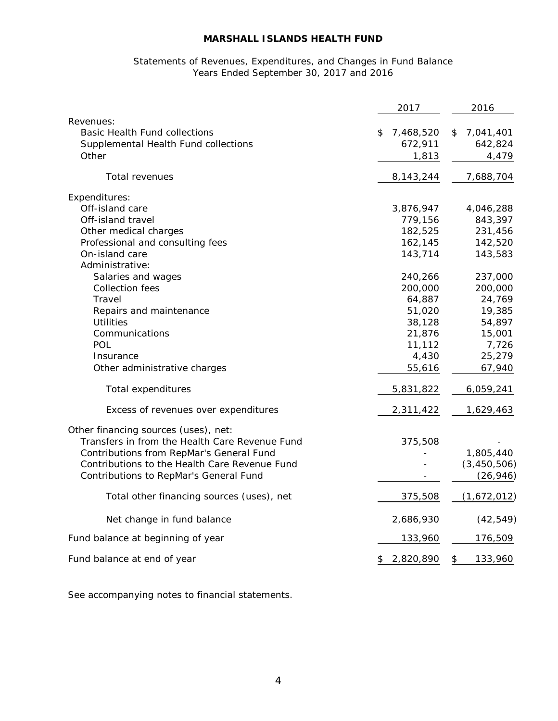## Statements of Revenues, Expenditures, and Changes in Fund Balance Years Ended September 30, 2017 and 2016

|                                                                                                                                    | 2017                                | 2016                                |
|------------------------------------------------------------------------------------------------------------------------------------|-------------------------------------|-------------------------------------|
| Revenues:<br><b>Basic Health Fund collections</b><br>Supplemental Health Fund collections<br>Other                                 | \$<br>7,468,520<br>672,911<br>1,813 | \$<br>7,041,401<br>642,824<br>4,479 |
| Total revenues                                                                                                                     | 8,143,244                           | 7,688,704                           |
| Expenditures:                                                                                                                      |                                     |                                     |
| Off-island care                                                                                                                    | 3,876,947                           | 4,046,288                           |
| Off-island travel                                                                                                                  | 779,156                             | 843,397                             |
| Other medical charges                                                                                                              | 182,525                             | 231,456                             |
| Professional and consulting fees<br>On-island care                                                                                 | 162,145<br>143,714                  | 142,520<br>143,583                  |
| Administrative:                                                                                                                    |                                     |                                     |
| Salaries and wages                                                                                                                 | 240,266                             | 237,000                             |
| <b>Collection fees</b>                                                                                                             | 200,000                             | 200,000                             |
| Travel                                                                                                                             | 64,887                              | 24,769                              |
| Repairs and maintenance                                                                                                            | 51,020                              | 19,385                              |
| <b>Utilities</b>                                                                                                                   | 38,128                              | 54,897                              |
| Communications                                                                                                                     | 21,876                              | 15,001                              |
| POL                                                                                                                                | 11,112                              | 7,726                               |
| Insurance                                                                                                                          | 4,430                               | 25,279                              |
| Other administrative charges                                                                                                       | 55,616                              | 67,940                              |
| Total expenditures                                                                                                                 | 5,831,822                           | 6,059,241                           |
| Excess of revenues over expenditures                                                                                               | 2,311,422                           | 1,629,463                           |
| Other financing sources (uses), net:<br>Transfers in from the Health Care Revenue Fund<br>Contributions from RepMar's General Fund | 375,508                             | 1,805,440                           |
| Contributions to the Health Care Revenue Fund                                                                                      |                                     | (3, 450, 506)                       |
| Contributions to RepMar's General Fund                                                                                             |                                     | (26, 946)                           |
| Total other financing sources (uses), net                                                                                          | 375,508                             | (1,672,012)                         |
| Net change in fund balance                                                                                                         | 2,686,930                           | (42, 549)                           |
| Fund balance at beginning of year                                                                                                  | 133,960                             | 176,509                             |
| Fund balance at end of year                                                                                                        | 2,820,890<br>\$                     | \$<br>133,960                       |

See accompanying notes to financial statements.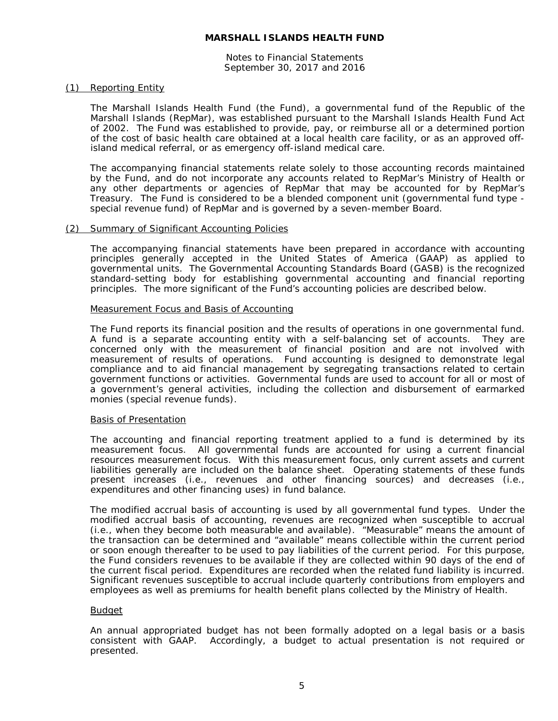Notes to Financial Statements September 30, 2017 and 2016

#### (1) Reporting Entity

The Marshall Islands Health Fund (the Fund), a governmental fund of the Republic of the Marshall Islands (RepMar), was established pursuant to the Marshall Islands Health Fund Act of 2002. The Fund was established to provide, pay, or reimburse all or a determined portion of the cost of basic health care obtained at a local health care facility, or as an approved offisland medical referral, or as emergency off-island medical care.

The accompanying financial statements relate solely to those accounting records maintained by the Fund, and do not incorporate any accounts related to RepMar's Ministry of Health or any other departments or agencies of RepMar that may be accounted for by RepMar's Treasury. The Fund is considered to be a blended component unit (governmental fund type special revenue fund) of RepMar and is governed by a seven-member Board.

#### (2) Summary of Significant Accounting Policies

The accompanying financial statements have been prepared in accordance with accounting principles generally accepted in the United States of America (GAAP) as applied to governmental units. The Governmental Accounting Standards Board (GASB) is the recognized standard-setting body for establishing governmental accounting and financial reporting principles. The more significant of the Fund's accounting policies are described below.

#### Measurement Focus and Basis of Accounting

The Fund reports its financial position and the results of operations in one governmental fund. A fund is a separate accounting entity with a self-balancing set of accounts. They are concerned only with the measurement of financial position and are not involved with measurement of results of operations. Fund accounting is designed to demonstrate legal compliance and to aid financial management by segregating transactions related to certain government functions or activities. Governmental funds are used to account for all or most of a government's general activities, including the collection and disbursement of earmarked monies (special revenue funds).

#### Basis of Presentation

The accounting and financial reporting treatment applied to a fund is determined by its measurement focus. All governmental funds are accounted for using a current financial resources measurement focus. With this measurement focus, only current assets and current liabilities generally are included on the balance sheet. Operating statements of these funds present increases (i.e., revenues and other financing sources) and decreases (i.e., expenditures and other financing uses) in fund balance.

The modified accrual basis of accounting is used by all governmental fund types. Under the modified accrual basis of accounting, revenues are recognized when susceptible to accrual (i.e., when they become both measurable and available). "Measurable" means the amount of the transaction can be determined and "available" means collectible within the current period or soon enough thereafter to be used to pay liabilities of the current period. For this purpose, the Fund considers revenues to be available if they are collected within 90 days of the end of the current fiscal period. Expenditures are recorded when the related fund liability is incurred. Significant revenues susceptible to accrual include quarterly contributions from employers and employees as well as premiums for health benefit plans collected by the Ministry of Health.

#### Budget

An annual appropriated budget has not been formally adopted on a legal basis or a basis consistent with GAAP. Accordingly, a budget to actual presentation is not required or presented.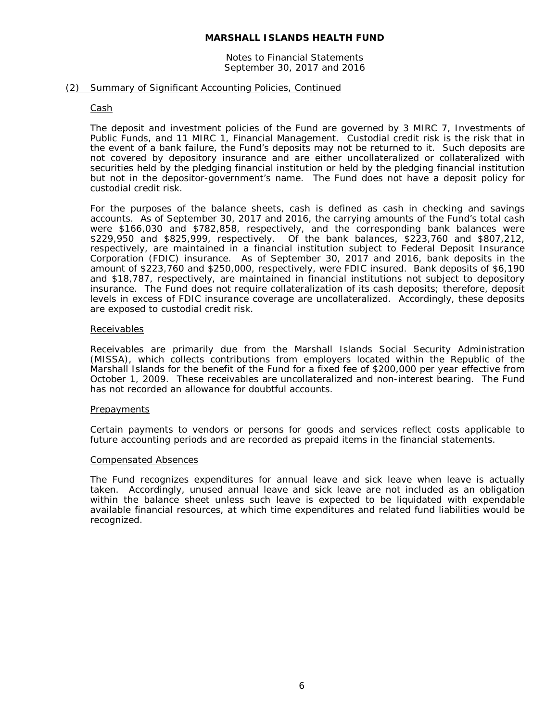#### Notes to Financial Statements September 30, 2017 and 2016

#### (2) Summary of Significant Accounting Policies, Continued

#### Cash

The deposit and investment policies of the Fund are governed by 3 MIRC 7, *Investments of Public Funds*, and 11 MIRC 1, *Financial Management*. Custodial credit risk is the risk that in the event of a bank failure, the Fund's deposits may not be returned to it. Such deposits are not covered by depository insurance and are either uncollateralized or collateralized with securities held by the pledging financial institution or held by the pledging financial institution but not in the depositor-government's name. The Fund does not have a deposit policy for custodial credit risk.

For the purposes of the balance sheets, cash is defined as cash in checking and savings accounts. As of September 30, 2017 and 2016, the carrying amounts of the Fund's total cash were \$166,030 and \$782,858, respectively, and the corresponding bank balances were \$229,950 and \$825,999, respectively. Of the bank balances, \$223,760 and \$807,212, respectively, are maintained in a financial institution subject to Federal Deposit Insurance Corporation (FDIC) insurance. As of September 30, 2017 and 2016, bank deposits in the amount of \$223,760 and \$250,000, respectively, were FDIC insured. Bank deposits of \$6,190 and \$18,787, respectively, are maintained in financial institutions not subject to depository insurance. The Fund does not require collateralization of its cash deposits; therefore, deposit levels in excess of FDIC insurance coverage are uncollateralized. Accordingly, these deposits are exposed to custodial credit risk.

#### **Receivables**

Receivables are primarily due from the Marshall Islands Social Security Administration (MISSA), which collects contributions from employers located within the Republic of the Marshall Islands for the benefit of the Fund for a fixed fee of \$200,000 per year effective from October 1, 2009. These receivables are uncollateralized and non-interest bearing. The Fund has not recorded an allowance for doubtful accounts.

#### **Prepayments**

Certain payments to vendors or persons for goods and services reflect costs applicable to future accounting periods and are recorded as prepaid items in the financial statements.

#### Compensated Absences

The Fund recognizes expenditures for annual leave and sick leave when leave is actually taken. Accordingly, unused annual leave and sick leave are not included as an obligation within the balance sheet unless such leave is expected to be liquidated with expendable available financial resources, at which time expenditures and related fund liabilities would be recognized.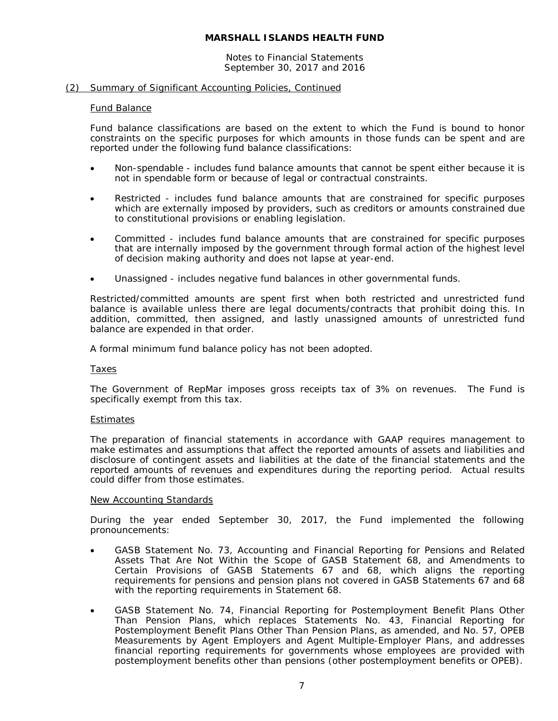#### Notes to Financial Statements September 30, 2017 and 2016

#### (2) Summary of Significant Accounting Policies, Continued

#### Fund Balance

Fund balance classifications are based on the extent to which the Fund is bound to honor constraints on the specific purposes for which amounts in those funds can be spent and are reported under the following fund balance classifications:

- Non-spendable includes fund balance amounts that cannot be spent either because it is not in spendable form or because of legal or contractual constraints.
- Restricted includes fund balance amounts that are constrained for specific purposes which are externally imposed by providers, such as creditors or amounts constrained due to constitutional provisions or enabling legislation.
- Committed includes fund balance amounts that are constrained for specific purposes that are internally imposed by the government through formal action of the highest level of decision making authority and does not lapse at year-end.
- Unassigned includes negative fund balances in other governmental funds.

Restricted/committed amounts are spent first when both restricted and unrestricted fund balance is available unless there are legal documents/contracts that prohibit doing this. In addition, committed, then assigned, and lastly unassigned amounts of unrestricted fund balance are expended in that order.

A formal minimum fund balance policy has not been adopted.

#### **Taxes**

The Government of RepMar imposes gross receipts tax of 3% on revenues. The Fund is specifically exempt from this tax.

#### Estimates

The preparation of financial statements in accordance with GAAP requires management to make estimates and assumptions that affect the reported amounts of assets and liabilities and disclosure of contingent assets and liabilities at the date of the financial statements and the reported amounts of revenues and expenditures during the reporting period. Actual results could differ from those estimates.

#### New Accounting Standards

During the year ended September 30, 2017, the Fund implemented the following pronouncements:

- GASB Statement No. 73, *Accounting and Financial Reporting for Pensions and Related Assets That Are Not Within the Scope of GASB Statement 68, and Amendments to Certain Provisions of GASB Statements 67 and 68*, which aligns the reporting requirements for pensions and pension plans not covered in GASB Statements 67 and 68 with the reporting requirements in Statement 68.
- GASB Statement No. 74, Financial Reporting for Postemployment Benefit Plans Other *Than Pension Plans*, which replaces Statements No. 43, *Financial Reporting for Postemployment Benefit Plans Other Than Pension Plans,* as amended, and No. 57, *OPEB Measurements by Agent Employers and Agent Multiple-Employer Plans*, and addresses financial reporting requirements for governments whose employees are provided with postemployment benefits other than pensions (other postemployment benefits or OPEB).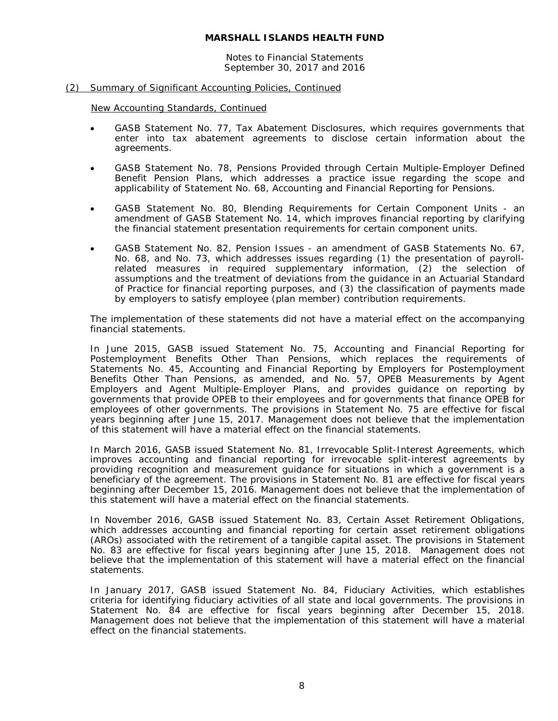Notes to Financial Statements September 30, 2017 and 2016

#### (2) Summary of Significant Accounting Policies, Continued

New Accounting Standards, Continued

- GASB Statement No. 77, *Tax Abatement Disclosures*, which requires governments that enter into tax abatement agreements to disclose certain information about the agreements.
- GASB Statement No. 78, *Pensions Provided through Certain Multiple-Employer Defined Benefit Pension Plans*, which addresses a practice issue regarding the scope and applicability of Statement No. 68, *Accounting and Financial Reporting for Pensions*.
- GASB Statement No. 80, *Blending Requirements for Certain Component Units - an amendment of GASB Statement No. 14*, which improves financial reporting by clarifying the financial statement presentation requirements for certain component units.
- GASB Statement No. 82, *Pension Issues - an amendment of GASB Statements No. 67, No. 68, and No. 73*, which addresses issues regarding (1) the presentation of payrollrelated measures in required supplementary information, (2) the selection of assumptions and the treatment of deviations from the guidance in an Actuarial Standard of Practice for financial reporting purposes, and (3) the classification of payments made by employers to satisfy employee (plan member) contribution requirements.

The implementation of these statements did not have a material effect on the accompanying financial statements.

In June 2015, GASB issued Statement No. 75, *Accounting and Financial Reporting for Postemployment Benefits Other Than Pensions*, which replaces the requirements of Statements No. 45, *Accounting and Financial Reporting by Employers for Postemployment Benefits Other Than Pensions*, as amended, and No. 57, *OPEB Measurements by Agent Employers and Agent Multiple-Employer Plans*, and provides guidance on reporting by governments that provide OPEB to their employees and for governments that finance OPEB for employees of other governments. The provisions in Statement No. 75 are effective for fiscal years beginning after June 15, 2017. Management does not believe that the implementation of this statement will have a material effect on the financial statements.

In March 2016, GASB issued Statement No. 81, *Irrevocable Split-Interest Agreements,* which improves accounting and financial reporting for irrevocable split-interest agreements by providing recognition and measurement guidance for situations in which a government is a beneficiary of the agreement. The provisions in Statement No. 81 are effective for fiscal years beginning after December 15, 2016. Management does not believe that the implementation of this statement will have a material effect on the financial statements.

In November 2016, GASB issued Statement No. 83, *Certain Asset Retirement Obligations*, which addresses accounting and financial reporting for certain asset retirement obligations (AROs) associated with the retirement of a tangible capital asset. The provisions in Statement No. 83 are effective for fiscal years beginning after June 15, 2018. Management does not believe that the implementation of this statement will have a material effect on the financial statements.

In January 2017, GASB issued Statement No. 84, *Fiduciary Activities*, which establishes criteria for identifying fiduciary activities of all state and local governments. The provisions in Statement No. 84 are effective for fiscal years beginning after December 15, 2018. Management does not believe that the implementation of this statement will have a material effect on the financial statements.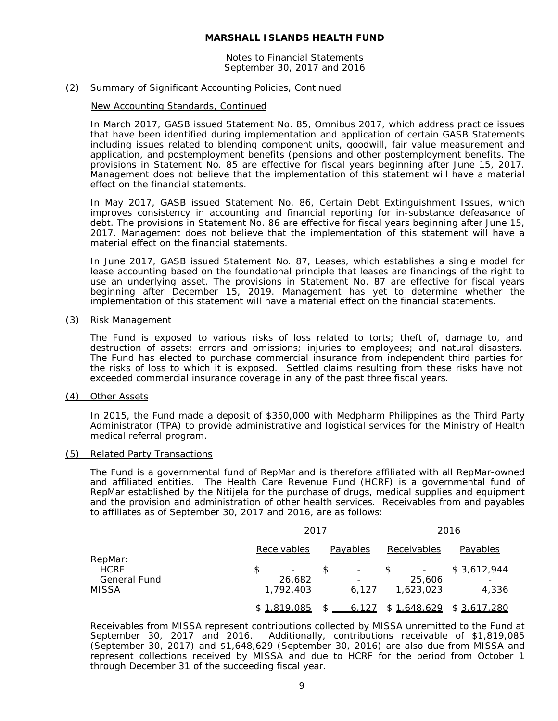#### Notes to Financial Statements September 30, 2017 and 2016

#### (2) Summary of Significant Accounting Policies, Continued

#### New Accounting Standards, Continued

In March 2017, GASB issued Statement No. 85, *Omnibus 2017*, which address practice issues that have been identified during implementation and application of certain GASB Statements including issues related to blending component units, goodwill, fair value measurement and application, and postemployment benefits (pensions and other postemployment benefits. The provisions in Statement No. 85 are effective for fiscal years beginning after June 15, 2017. Management does not believe that the implementation of this statement will have a material effect on the financial statements.

In May 2017, GASB issued Statement No. 86, *Certain Debt Extinguishment Issues*, which improves consistency in accounting and financial reporting for in-substance defeasance of debt. The provisions in Statement No. 86 are effective for fiscal years beginning after June 15, 2017. Management does not believe that the implementation of this statement will have a material effect on the financial statements.

In June 2017, GASB issued Statement No. 87, *Leases*, which establishes a single model for lease accounting based on the foundational principle that leases are financings of the right to use an underlying asset. The provisions in Statement No. 87 are effective for fiscal years beginning after December 15, 2019. Management has yet to determine whether the implementation of this statement will have a material effect on the financial statements.

#### (3) Risk Management

The Fund is exposed to various risks of loss related to torts; theft of, damage to, and destruction of assets; errors and omissions; injuries to employees; and natural disasters. The Fund has elected to purchase commercial insurance from independent third parties for the risks of loss to which it is exposed. Settled claims resulting from these risks have not exceeded commercial insurance coverage in any of the past three fiscal years.

#### (4) Other Assets

In 2015, the Fund made a deposit of \$350,000 with Medpharm Philippines as the Third Party Administrator (TPA) to provide administrative and logistical services for the Ministry of Health medical referral program.

#### (5) Related Party Transactions

The Fund is a governmental fund of RepMar and is therefore affiliated with all RepMar-owned and affiliated entities. The Health Care Revenue Fund (HCRF) is a governmental fund of RepMar established by the Nitijela for the purchase of drugs, medical supplies and equipment and the provision and administration of other health services. Receivables from and payables to affiliates as of September 30, 2017 and 2016, are as follows:

|                              |                     | 2017                              |                     | 2016         |  |
|------------------------------|---------------------|-----------------------------------|---------------------|--------------|--|
|                              | Receivables         | Payables                          | Receivables         | Payables     |  |
| RepMar:<br><b>HCRF</b>       | \$                  | \$<br>$\overline{\phantom{a}}$    |                     | \$3,612,944  |  |
| <b>General Fund</b><br>MISSA | 26,682<br>1,792,403 | $\overline{\phantom{a}}$<br>6,127 | 25,606<br>1,623,023 | 4,336        |  |
|                              | \$1,819,085         | 6,127                             | \$1,648,629         | \$ 3,617,280 |  |

Receivables from MISSA represent contributions collected by MISSA unremitted to the Fund at September 30, 2017 and 2016. Additionally, contributions receivable of \$1,819,085 (September 30, 2017) and \$1,648,629 (September 30, 2016) are also due from MISSA and represent collections received by MISSA and due to HCRF for the period from October 1 through December 31 of the succeeding fiscal year.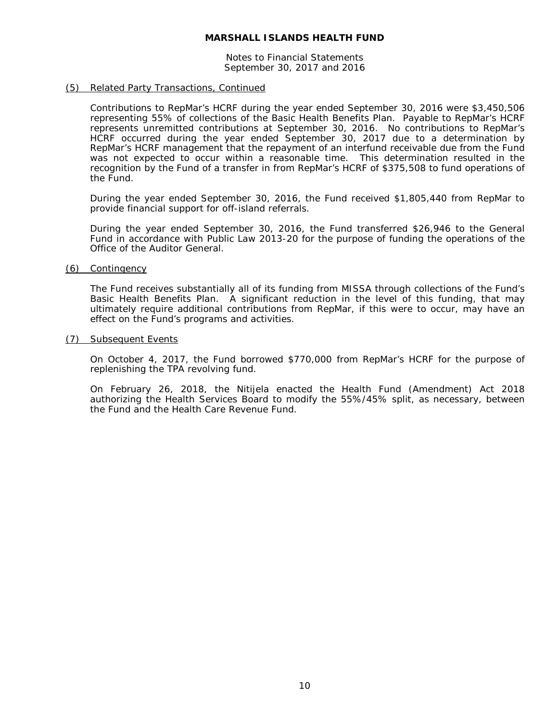Notes to Financial Statements September 30, 2017 and 2016

#### (5) Related Party Transactions, Continued

Contributions to RepMar's HCRF during the year ended September 30, 2016 were \$3,450,506 representing 55% of collections of the Basic Health Benefits Plan. Payable to RepMar's HCRF represents unremitted contributions at September 30, 2016. No contributions to RepMar's HCRF occurred during the year ended September 30, 2017 due to a determination by RepMar's HCRF management that the repayment of an interfund receivable due from the Fund was not expected to occur within a reasonable time. This determination resulted in the recognition by the Fund of a transfer in from RepMar's HCRF of \$375,508 to fund operations of the Fund.

During the year ended September 30, 2016, the Fund received \$1,805,440 from RepMar to provide financial support for off-island referrals.

During the year ended September 30, 2016, the Fund transferred \$26,946 to the General Fund in accordance with Public Law 2013-20 for the purpose of funding the operations of the Office of the Auditor General.

#### (6) Contingency

The Fund receives substantially all of its funding from MISSA through collections of the Fund's Basic Health Benefits Plan. A significant reduction in the level of this funding, that may ultimately require additional contributions from RepMar, if this were to occur, may have an effect on the Fund's programs and activities.

#### (7) Subsequent Events

On October 4, 2017, the Fund borrowed \$770,000 from RepMar's HCRF for the purpose of replenishing the TPA revolving fund.

On February 26, 2018, the Nitijela enacted the Health Fund (Amendment) Act 2018 authorizing the Health Services Board to modify the 55%/45% split, as necessary, between the Fund and the Health Care Revenue Fund.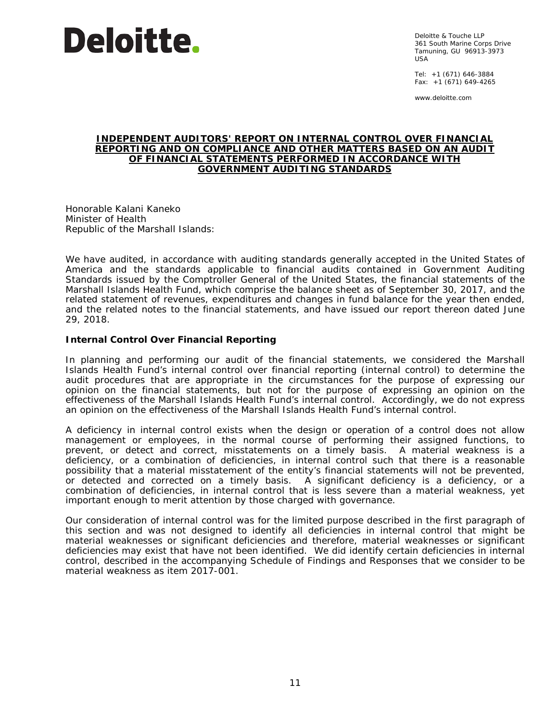Deloitte & Touche LLP 361 South Marine Corps Drive Tamuning, GU 96913-3973  $IISA$ 

Tel: +1 (671) 646-3884 Fax: +1 (671) 649-4265

www.deloitte.com

#### **INDEPENDENT AUDITORS' REPORT ON INTERNAL CONTROL OVER FINANCIAL REPORTING AND ON COMPLIANCE AND OTHER MATTERS BASED ON AN AUDIT OF FINANCIAL STATEMENTS PERFORMED IN ACCORDANCE WITH** *GOVERNMENT AUDITING STANDARDS*

Honorable Kalani Kaneko Minister of Health Republic of the Marshall Islands:

We have audited, in accordance with auditing standards generally accepted in the United States of America and the standards applicable to financial audits contained in *Government Auditing Standards* issued by the Comptroller General of the United States, the financial statements of the Marshall Islands Health Fund, which comprise the balance sheet as of September 30, 2017, and the related statement of revenues, expenditures and changes in fund balance for the year then ended, and the related notes to the financial statements, and have issued our report thereon dated June 29, 2018.

#### **Internal Control Over Financial Reporting**

In planning and performing our audit of the financial statements, we considered the Marshall Islands Health Fund's internal control over financial reporting (internal control) to determine the audit procedures that are appropriate in the circumstances for the purpose of expressing our opinion on the financial statements, but not for the purpose of expressing an opinion on the effectiveness of the Marshall Islands Health Fund's internal control. Accordingly, we do not express an opinion on the effectiveness of the Marshall Islands Health Fund's internal control.

A *deficiency in internal control* exists when the design or operation of a control does not allow management or employees, in the normal course of performing their assigned functions, to prevent, or detect and correct, misstatements on a timely basis. A *material weakness* is a deficiency, or a combination of deficiencies, in internal control such that there is a reasonable possibility that a material misstatement of the entity's financial statements will not be prevented, or detected and corrected on a timely basis. A *significant deficiency* is a deficiency, or a combination of deficiencies, in internal control that is less severe than a material weakness, yet important enough to merit attention by those charged with governance.

Our consideration of internal control was for the limited purpose described in the first paragraph of this section and was not designed to identify all deficiencies in internal control that might be material weaknesses or significant deficiencies and therefore, material weaknesses or significant deficiencies may exist that have not been identified. We did identify certain deficiencies in internal control, described in the accompanying Schedule of Findings and Responses that we consider to be material weakness as item 2017-001.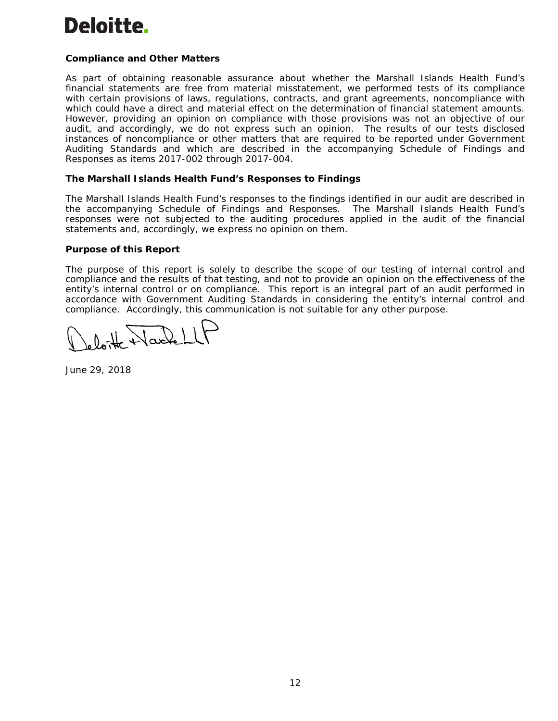# **Compliance and Other Matters**

As part of obtaining reasonable assurance about whether the Marshall Islands Health Fund's financial statements are free from material misstatement, we performed tests of its compliance with certain provisions of laws, regulations, contracts, and grant agreements, noncompliance with which could have a direct and material effect on the determination of financial statement amounts. However, providing an opinion on compliance with those provisions was not an objective of our audit, and accordingly, we do not express such an opinion. The results of our tests disclosed instances of noncompliance or other matters that are required to be reported under *Government Auditing Standards* and which are described in the accompanying Schedule of Findings and Responses as items 2017-002 through 2017-004.

# **The Marshall Islands Health Fund's Responses to Findings**

The Marshall Islands Health Fund's responses to the findings identified in our audit are described in the accompanying Schedule of Findings and Responses. The Marshall Islands Health Fund's responses were not subjected to the auditing procedures applied in the audit of the financial statements and, accordingly, we express no opinion on them.

#### **Purpose of this Report**

The purpose of this report is solely to describe the scope of our testing of internal control and compliance and the results of that testing, and not to provide an opinion on the effectiveness of the entity's internal control or on compliance. This report is an integral part of an audit performed in accordance with *Government Auditing Standards* in considering the entity's internal control and compliance. Accordingly, this communication is not suitable for any other purpose.

loite Nachel

June 29, 2018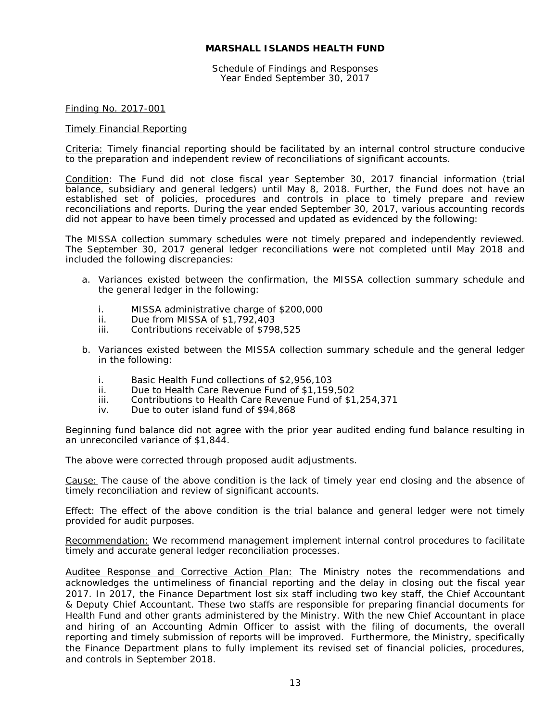Schedule of Findings and Responses Year Ended September 30, 2017

#### Finding No. 2017-001

#### Timely Financial Reporting

Criteria: Timely financial reporting should be facilitated by an internal control structure conducive to the preparation and independent review of reconciliations of significant accounts.

Condition: The Fund did not close fiscal year September 30, 2017 financial information (trial balance, subsidiary and general ledgers) until May 8, 2018. Further, the Fund does not have an established set of policies, procedures and controls in place to timely prepare and review reconciliations and reports. During the year ended September 30, 2017, various accounting records did not appear to have been timely processed and updated as evidenced by the following:

The MISSA collection summary schedules were not timely prepared and independently reviewed. The September 30, 2017 general ledger reconciliations were not completed until May 2018 and included the following discrepancies:

- a. Variances existed between the confirmation, the MISSA collection summary schedule and the general ledger in the following:
	- i. MISSA administrative charge of \$200,000<br>ii. Due from MISSA of \$1,792,403
	- Due from MISSA of \$1,792,403
	- iii. Contributions receivable of \$798,525
- b. Variances existed between the MISSA collection summary schedule and the general ledger in the following:
	- i. Basic Health Fund collections of \$2,956,103<br>ii. Due to Health Care Revenue Fund of \$1.159
	- Due to Health Care Revenue Fund of \$1,159,502
	- iii. Contributions to Health Care Revenue Fund of \$1,254,371
	- iv. Due to outer island fund of \$94,868

Beginning fund balance did not agree with the prior year audited ending fund balance resulting in an unreconciled variance of \$1,844.

The above were corrected through proposed audit adjustments.

Cause: The cause of the above condition is the lack of timely year end closing and the absence of timely reconciliation and review of significant accounts.

Effect: The effect of the above condition is the trial balance and general ledger were not timely provided for audit purposes.

Recommendation: We recommend management implement internal control procedures to facilitate timely and accurate general ledger reconciliation processes.

Auditee Response and Corrective Action Plan: The Ministry notes the recommendations and acknowledges the untimeliness of financial reporting and the delay in closing out the fiscal year 2017. In 2017, the Finance Department lost six staff including two key staff, the Chief Accountant & Deputy Chief Accountant. These two staffs are responsible for preparing financial documents for Health Fund and other grants administered by the Ministry. With the new Chief Accountant in place and hiring of an Accounting Admin Officer to assist with the filing of documents, the overall reporting and timely submission of reports will be improved. Furthermore, the Ministry, specifically the Finance Department plans to fully implement its revised set of financial policies, procedures, and controls in September 2018.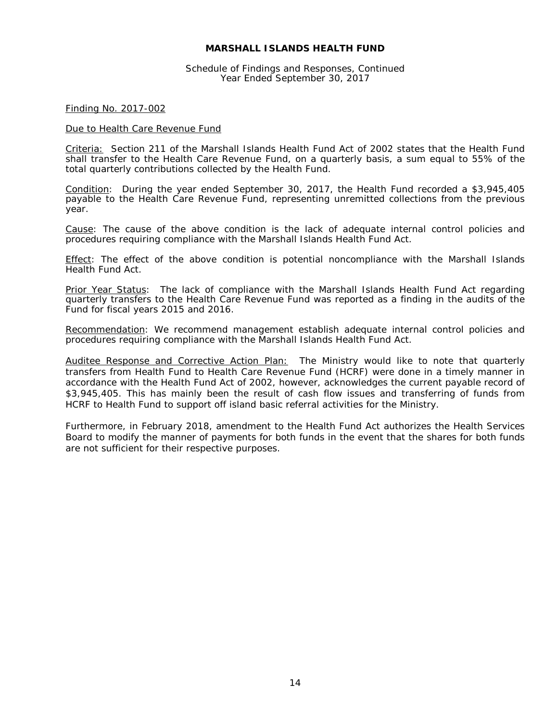Schedule of Findings and Responses, Continued Year Ended September 30, 2017

#### Finding No. 2017-002

#### Due to Health Care Revenue Fund

Criteria: Section 211 of the Marshall Islands Health Fund Act of 2002 states that the Health Fund shall transfer to the Health Care Revenue Fund, on a quarterly basis, a sum equal to 55% of the total quarterly contributions collected by the Health Fund.

Condition: During the year ended September 30, 2017, the Health Fund recorded a \$3,945,405 payable to the Health Care Revenue Fund, representing unremitted collections from the previous year.

Cause: The cause of the above condition is the lack of adequate internal control policies and procedures requiring compliance with the Marshall Islands Health Fund Act.

Effect: The effect of the above condition is potential noncompliance with the Marshall Islands Health Fund Act.

Prior Year Status: The lack of compliance with the Marshall Islands Health Fund Act regarding quarterly transfers to the Health Care Revenue Fund was reported as a finding in the audits of the Fund for fiscal years 2015 and 2016.

Recommendation: We recommend management establish adequate internal control policies and procedures requiring compliance with the Marshall Islands Health Fund Act.

Auditee Response and Corrective Action Plan: The Ministry would like to note that quarterly transfers from Health Fund to Health Care Revenue Fund (HCRF) were done in a timely manner in accordance with the Health Fund Act of 2002, however, acknowledges the current payable record of \$3,945,405. This has mainly been the result of cash flow issues and transferring of funds from HCRF to Health Fund to support off island basic referral activities for the Ministry.

Furthermore, in February 2018, amendment to the Health Fund Act authorizes the Health Services Board to modify the manner of payments for both funds in the event that the shares for both funds are not sufficient for their respective purposes.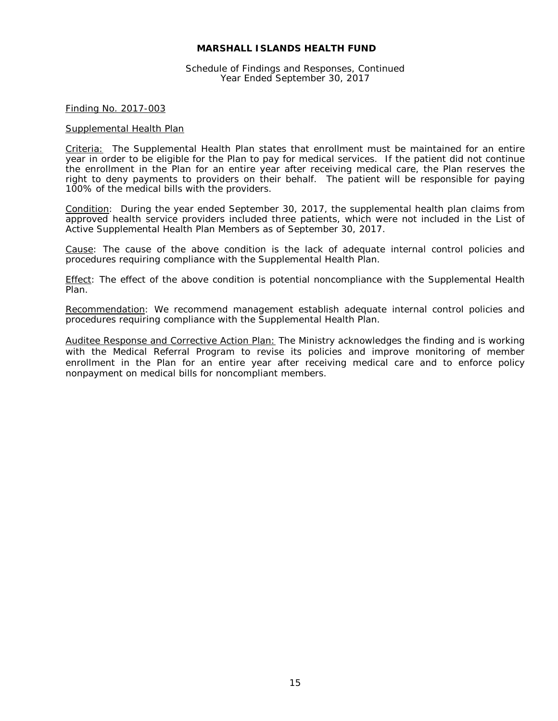Schedule of Findings and Responses, Continued Year Ended September 30, 2017

#### Finding No. 2017-003

#### Supplemental Health Plan

Criteria: The Supplemental Health Plan states that enrollment must be maintained for an entire year in order to be eligible for the Plan to pay for medical services. If the patient did not continue the enrollment in the Plan for an entire year after receiving medical care, the Plan reserves the right to deny payments to providers on their behalf. The patient will be responsible for paying 100% of the medical bills with the providers.

Condition: During the year ended September 30, 2017, the supplemental health plan claims from approved health service providers included three patients, which were not included in the List of Active Supplemental Health Plan Members as of September 30, 2017.

Cause: The cause of the above condition is the lack of adequate internal control policies and procedures requiring compliance with the Supplemental Health Plan.

Effect: The effect of the above condition is potential noncompliance with the Supplemental Health Plan.

Recommendation: We recommend management establish adequate internal control policies and procedures requiring compliance with the Supplemental Health Plan.

Auditee Response and Corrective Action Plan: The Ministry acknowledges the finding and is working with the Medical Referral Program to revise its policies and improve monitoring of member enrollment in the Plan for an entire year after receiving medical care and to enforce policy nonpayment on medical bills for noncompliant members.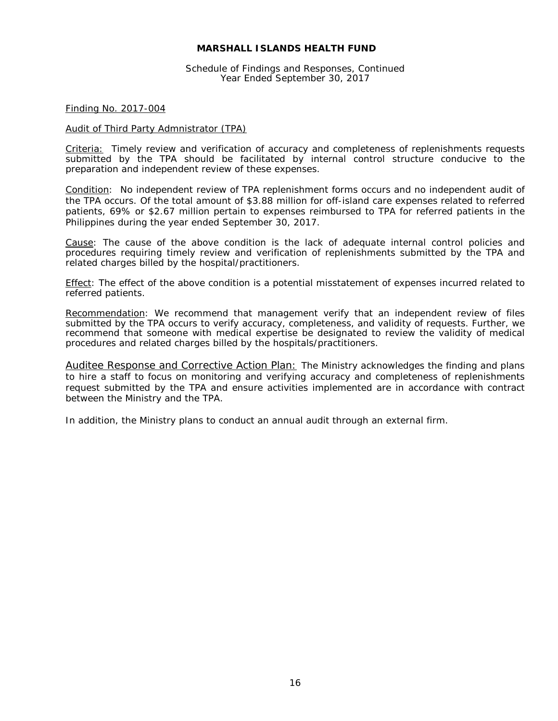Schedule of Findings and Responses, Continued Year Ended September 30, 2017

#### Finding No. 2017-004

#### Audit of Third Party Admnistrator (TPA)

Criteria: Timely review and verification of accuracy and completeness of replenishments requests submitted by the TPA should be facilitated by internal control structure conducive to the preparation and independent review of these expenses.

Condition: No independent review of TPA replenishment forms occurs and no independent audit of the TPA occurs. Of the total amount of \$3.88 million for off-island care expenses related to referred patients, 69% or \$2.67 million pertain to expenses reimbursed to TPA for referred patients in the Philippines during the year ended September 30, 2017.

Cause: The cause of the above condition is the lack of adequate internal control policies and procedures requiring timely review and verification of replenishments submitted by the TPA and related charges billed by the hospital/practitioners.

Effect: The effect of the above condition is a potential misstatement of expenses incurred related to referred patients.

Recommendation: We recommend that management verify that an independent review of files submitted by the TPA occurs to verify accuracy, completeness, and validity of requests. Further, we recommend that someone with medical expertise be designated to review the validity of medical procedures and related charges billed by the hospitals/practitioners.

Auditee Response and Corrective Action Plan: The Ministry acknowledges the finding and plans to hire a staff to focus on monitoring and verifying accuracy and completeness of replenishments request submitted by the TPA and ensure activities implemented are in accordance with contract between the Ministry and the TPA.

In addition, the Ministry plans to conduct an annual audit through an external firm.